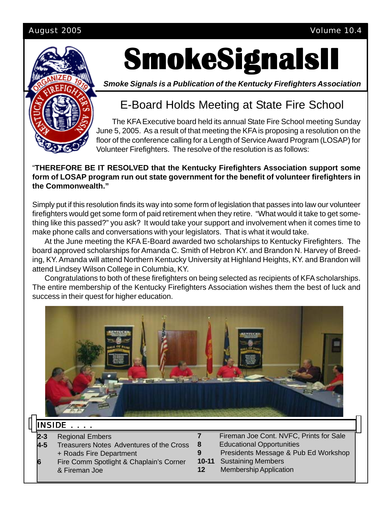#### August 2005 Volume 10.4



# **SmokeSignalsII SmokeSignalsII SmokeSignalsII**

*Smoke Signals is a Publication of the Kentucky Firefighters Association*

# E-Board Holds Meeting at State Fire School

The KFA Executive board held its annual State Fire School meeting Sunday June 5, 2005. As a result of that meeting the KFA is proposing a resolution on the floor of the conference calling for a Length of Service Award Program (LOSAP) for Volunteer Firefighters. The resolve of the resolution is as follows:

#### "**THEREFORE BE IT RESOLVED that the Kentucky Firefighters Association support some form of LOSAP program run out state government for the benefit of volunteer firefighters in the Commonwealth."**

Simply put if this resolution finds its way into some form of legislation that passes into law our volunteer firefighters would get some form of paid retirement when they retire. "What would it take to get something like this passed?" you ask? It would take your support and involvement when it comes time to make phone calls and conversations with your legislators. That is what it would take.

At the June meeting the KFA E-Board awarded two scholarships to Kentucky Firefighters. The board approved scholarships for Amanda C. Smith of Hebron KY. and Brandon N. Harvey of Breeding, KY. Amanda will attend Northern Kentucky University at Highland Heights, KY. and Brandon will attend Lindsey Wilson College in Columbia, KY.

Congratulations to both of these firefighters on being selected as recipients of KFA scholarships. The entire membership of the Kentucky Firefighters Association wishes them the best of luck and success in their quest for higher education.



### **INSIDE**

- **2-3** Regional Embers
- **4-5** Treasurers Notes Adventures of the Cross + Roads Fire Department
- **6** Fire Comm Spotlight & Chaplain's Corner & Fireman Joe
- **7** Fireman Joe Cont. NVFC, Prints for Sale **8** Educational Opportunities
- **9** Presidents Message & Pub Ed Workshop
- **10-11** Sustaining Members
- **12** Membership Application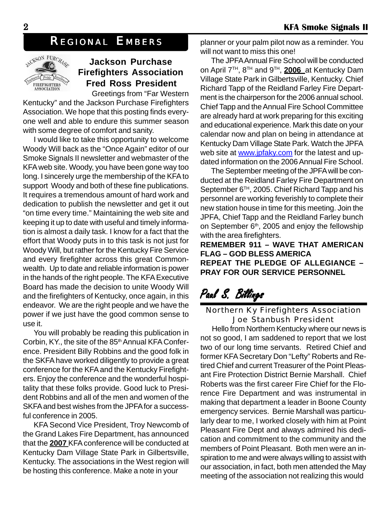## *REGIONAL EMBERS*



### **Jackson Purchase Firefighters Association Fred Ross President**

Greetings from "Far Western Kentucky" and the Jackson Purchase Firefighters Association. We hope that this posting finds everyone well and able to endure this summer season with some degree of comfort and sanity.

I would like to take this opportunity to welcome Woody Will back as the "Once Again" editor of our Smoke Signals II newsletter and webmaster of the KFA web site. Woody, you have been gone way too long. I sincerely urge the membership of the KFA to support Woody and both of these fine publications. It requires a tremendous amount of hard work and dedication to publish the newsletter and get it out "on time every time." Maintaining the web site and keeping it up to date with useful and timely information is almost a daily task. I know for a fact that the effort that Woody puts in to this task is not just for Woody Will, but rather for the Kentucky Fire Service and every firefighter across this great Commonwealth. Up to date and reliable information is power in the hands of the right people. The KFA Executive Board has made the decision to unite Woody Will and the firefighters of Kentucky, once again, in this endeavor. We are the right people and we have the power if we just have the good common sense to use it.

You will probably be reading this publication in Corbin, KY., the site of the 85<sup>th</sup> Annual KFA Conference. President Billy Robbins and the good folk in the SKFA have worked diligently to provide a great conference for the KFA and the Kentucky Firefighters. Enjoy the conference and the wonderful hospitality that these folks provide. Good luck to President Robbins and all of the men and women of the SKFA and best wishes from the JPFA for a successful conference in 2005.

KFA Second Vice President, Troy Newcomb of the Grand Lakes Fire Department, has announced that the **2007** KFA conference will be conducted at Kentucky Dam Village State Park in Gilbertsville, Kentucky. The associations in the West region will be hosting this conference. Make a note in your

planner or your palm pilot now as a reminder. You will not want to miss this one!

The JPFA Annual Fire School will be conducted on April 7TH, 8TH and 9TH, **2006** at Kentucky Dam Village State Park in Gilbertsville, Kentucky. Chief Richard Tapp of the Reidland Farley Fire Department is the chairperson for the 2006 annual school. Chief Tapp and the Annual Fire School Committee are already hard at work preparing for this exciting and educational experience. Mark this date on your calendar now and plan on being in attendance at Kentucky Dam Village State Park. Watch the JPFA web site at www.jpfaky.com for the latest and updated information on the 2006 Annual Fire School.

The September meeting of the JPFA will be conducted at the Reidland Farley Fire Department on September 6<sup>TH</sup>, 2005. Chief Richard Tapp and his personnel are working feverishly to complete their new station house in time for this meeting. Join the JPFA, Chief Tapp and the Reidland Farley bunch on September 6<sup>th</sup>, 2005 and enjoy the fellowship with the area firefighters.

**REMEMBER 911 – WAVE THAT AMERICAN FLAG – GOD BLESS AMERICA REPEAT THE PLEDGE OF ALLEGIANCE – PRAY FOR OUR SERVICE PERSONNEL**

# Paul S. Billings

#### Northern Ky Firefighters Association Joe Stanbush President

Hello from Northern Kentucky where our news is not so good, I am saddened to report that we lost two of our long time servants. Retired Chief and former KFA Secretary Don "Lefty" Roberts and Retired Chief and current Treasurer of the Point Pleasant Fire Protection District Bernie Marshall. Chief Roberts was the first career Fire Chief for the Florence Fire Department and was instrumental in making that department a leader in Boone County emergency services. Bernie Marshall was particularly dear to me, I worked closely with him at Point Pleasant Fire Dept and always admired his dedication and commitment to the community and the members of Point Pleasant. Both men were an inspiration to me and were always willing to assist with our association, in fact, both men attended the May meeting of the association not realizing this would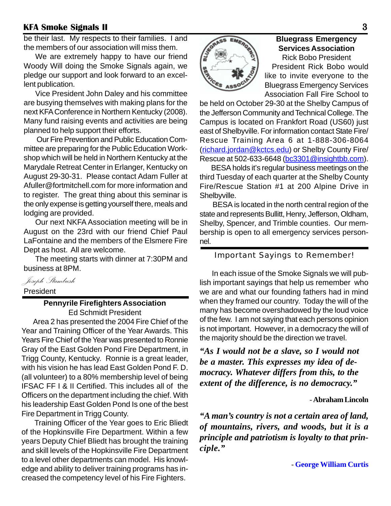be their last. My respects to their families. I and the members of our association will miss them.

We are extremely happy to have our friend Woody Will doing the Smoke Signals again, we pledge our support and look forward to an excellent publication.

Vice President John Daley and his committee are busying themselves with making plans for the next KFA Conference in Northern Kentucky (2008). Many fund raising events and activities are being planned to help support their efforts.

Our Fire Prevention and Public Education Committee are preparing for the Public Education Workshop which will be held in Northern Kentucky at the Marydale Retreat Center in Erlanger, Kentucky on August 29-30-31. Please contact Adam Fuller at Afuller@fortmitchell.com for more information and to register. The great thing about this seminar is the only expense is getting yourself there, meals and lodging are provided.

Our next NKFA Association meeting will be in August on the 23rd with our friend Chief Paul LaFontaine and the members of the Elsmere Fire Dept as host. All are welcome.

The meeting starts with dinner at 7:30PM and business at 8PM.

*Joseph Stambush*

President

# **Pennyrile Firefighters Association**

Ed Schmidt President

Area 2 has presented the 2004 Fire Chief of the Year and Training Officer of the Year Awards. This Years Fire Chief of the Year was presented to Ronnie Gray of the East Golden Pond Fire Department, in Trigg County, Kentucky. Ronnie is a great leader, with his vision he has lead East Golden Pond F. D. (all volunteer) to a 80% membership level of being IFSAC FF I & II Certified. This includes all of the Officers on the department including the chief. With his leadership East Golden Pond Is one of the best Fire Department in Trigg County.

Training Officer of the Year goes to Eric Bliedt of the Hopkinsville Fire Department. Within a few years Deputy Chief Bliedt has brought the training and skill levels of the Hopkinsville Fire Department to a level other departments can model. His knowledge and ability to deliver training programs has increased the competency level of his Fire Fighters.



#### **Bluegrass Emergency Services Association** Rick Bobo President

 President Rick Bobo would like to invite everyone to the Bluegrass Emergency Services Association Fall Fire School to

be held on October 29-30 at the Shelby Campus of the Jefferson Community and Technical College. The Campus is located on Frankfort Road (US60) just east of Shelbyville. For information contact State Fire/ Rescue Training Area 6 at 1-888-306-8064 (richard.jordan@kctcs.edu) or Shelby County Fire/ Rescue at 502-633-6648 (bc3301@insightbb.com).

BESA holds it's regular business meetings on the third Tuesday of each quarter at the Shelby County Fire/Rescue Station #1 at 200 Alpine Drive in Shelbyville.

BESA is located in the north central region of the state and represents Bullitt, Henry, Jefferson, Oldham, Shelby, Spencer, and Trimble counties. Our membership is open to all emergency services personnel.

#### Important Sayings to Remember!

In each issue of the Smoke Signals we will publish important sayings that help us remember who we are and what our founding fathers had in mind when they framed our country. Today the will of the many has become overshadowed by the loud voice of the few. I am not saying that each persons opinion is not important. However, in a democracy the will of the majority should be the direction we travel.

*"As I would not be a slave, so I would not be a master. This expresses my idea of democracy. Whatever differs from this, to the extent of the difference, is no democracy."*

#### - **Abraham Lincoln**

*"A man's country is not a certain area of land, of mountains, rivers, and woods, but it is a principle and patriotism is loyalty to that principle."*

 *-* **George William Curtis**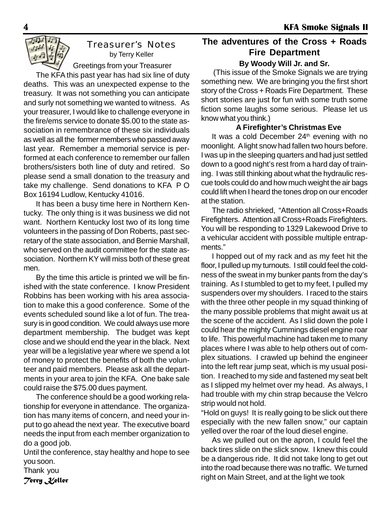

#### Treasurer's Notes by Terry Keller

Greetings from your Treasurer

The KFA this past year has had six line of duty deaths. This was an unexpected expense to the treasury. It was not something you can anticipate and surly not something we wanted to witness. As your treasurer, I would like to challenge everyone in the fire/ems service to donate \$5.00 to the state association in remembrance of these six individuals as well as all the former members who passed away last year. Remember a memorial service is performed at each conference to remember our fallen brothers/sisters both line of duty and retired. So please send a small donation to the treasury and take my challenge. Send donations to KFA P O Box 16194 Ludlow, Kentucky 41016.

It has been a busy time here in Northern Kentucky. The only thing is it was business we did not want. Northern Kentucky lost two of its long time volunteers in the passing of Don Roberts, past secretary of the state association, and Bernie Marshall, who served on the audit committee for the state association. Northern KY will miss both of these great men.

By the time this article is printed we will be finished with the state conference. I know President Robbins has been working with his area association to make this a good conference. Some of the events scheduled sound like a lot of fun. The treasury is in good condition. We could always use more department membership. The budget was kept close and we should end the year in the black. Next year will be a legislative year where we spend a lot of money to protect the benefits of both the volunteer and paid members. Please ask all the departments in your area to join the KFA. One bake sale could raise the \$75.00 dues payment.

The conference should be a good working relationship for everyone in attendance. The organization has many items of concern, and need your input to go ahead the next year. The executive board needs the input from each member organization to do a good job.

Until the conference, stay healthy and hope to see you soon.

Thank you *Terry Keller*

#### **The adventures of the Cross + Roads Fire Department By Woody Will Jr. and Sr.**

(This issue of the Smoke Signals we are trying something new. We are bringing you the first short story of the Cross + Roads Fire Department. These short stories are just for fun with some truth some fiction some laughs some serious. Please let us know what you think.)

#### **A Firefighter's Christmas Eve**

It was a cold December 24<sup>th</sup> evening with no moonlight. A light snow had fallen two hours before. I was up in the sleeping quarters and had just settled down to a good night's rest from a hard day of training. I was still thinking about what the hydraulic rescue tools could do and how much weight the air bags could lift when I heard the tones drop on our encoder at the station.

The radio shrieked, "Attention all Cross+Roads Firefighters. Attention all Cross+Roads Firefighters. You will be responding to 1329 Lakewood Drive to a vehicular accident with possible multiple entrapments."

I hopped out of my rack and as my feet hit the floor, I pulled up my turnouts. I still could feel the coldness of the sweat in my bunker pants from the day's training. As I stumbled to get to my feet, I pulled my suspenders over my shoulders. I raced to the stairs with the three other people in my squad thinking of the many possible problems that might await us at the scene of the accident. As I slid down the pole I could hear the mighty Cummings diesel engine roar to life. This powerful machine had taken me to many places where I was able to help others out of complex situations. I crawled up behind the engineer into the left rear jump seat, which is my usual position. I reached to my side and fastened my seat belt as I slipped my helmet over my head. As always, I had trouble with my chin strap because the Velcro strip would not hold.

"Hold on guys! It is really going to be slick out there especially with the new fallen snow," our captain yelled over the roar of the loud diesel engine.

As we pulled out on the apron, I could feel the back tires slide on the slick snow. I knew this could be a dangerous ride. It did not take long to get out into the road because there was no traffic. We turned right on Main Street, and at the light we took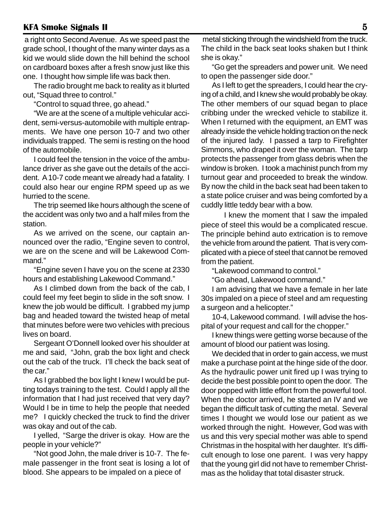a right onto Second Avenue. As we speed past the grade school, I thought of the many winter days as a kid we would slide down the hill behind the school on cardboard boxes after a fresh snow just like this one. I thought how simple life was back then.

The radio brought me back to reality as it blurted out, "Squad three to control."

"Control to squad three, go ahead."

"We are at the scene of a multiple vehicular accident, semi-versus-automobile with multiple entrapments. We have one person 10-7 and two other individuals trapped. The semi is resting on the hood of the automobile.

I could feel the tension in the voice of the ambulance driver as she gave out the details of the accident. A 10-7 code meant we already had a fatality. I could also hear our engine RPM speed up as we hurried to the scene.

The trip seemed like hours although the scene of the accident was only two and a half miles from the station.

As we arrived on the scene, our captain announced over the radio, "Engine seven to control, we are on the scene and will be Lakewood Command."

"Engine seven I have you on the scene at 2330 hours and establishing Lakewood Command."

As I climbed down from the back of the cab, I could feel my feet begin to slide in the soft snow. I knew the job would be difficult. I grabbed my jump bag and headed toward the twisted heap of metal that minutes before were two vehicles with precious lives on board.

Sergeant O'Donnell looked over his shoulder at me and said, "John, grab the box light and check out the cab of the truck. I'll check the back seat of the car."

As I grabbed the box light I knew I would be putting todays training to the test. Could I apply all the information that I had just received that very day? Would I be in time to help the people that needed me? I quickly checked the truck to find the driver was okay and out of the cab.

I yelled, "Sarge the driver is okay. How are the people in your vehicle?"

"Not good John, the male driver is 10-7. The female passenger in the front seat is losing a lot of blood. She appears to be impaled on a piece of

 metal sticking through the windshield from the truck. The child in the back seat looks shaken but I think she is okay."

"Go get the spreaders and power unit. We need to open the passenger side door."

As I left to get the spreaders, I could hear the crying of a child, and I knew she would probably be okay. The other members of our squad began to place cribbing under the wrecked vehicle to stabilize it. When I returned with the equipment, an EMT was already inside the vehicle holding traction on the neck of the injured lady. I passed a tarp to Firefighter Simmons, who draped it over the woman. The tarp protects the passenger from glass debris when the window is broken. I took a machinist punch from my turnout gear and proceeded to break the window. By now the child in the back seat had been taken to a state police cruiser and was being comforted by a cuddly little teddy bear with a bow.

I knew the moment that I saw the impaled piece of steel this would be a complicated rescue. The principle behind auto extrication is to remove the vehicle from around the patient. That is very complicated with a piece of steel that cannot be removed from the patient.

"Lakewood command to control."

"Go ahead, Lakewood command."

I am advising that we have a female in her late 30s impaled on a piece of steel and am requesting a surgeon and a helicopter."

10-4, Lakewood command. I will advise the hospital of your request and call for the chopper."

I knew things were getting worse because of the amount of blood our patient was losing.

We decided that in order to gain access, we must make a purchase point at the hinge side of the door. As the hydraulic power unit fired up I was trying to decide the best possible point to open the door. The door popped with little effort from the powerful tool. When the doctor arrived, he started an IV and we began the difficult task of cutting the metal. Several times I thought we would lose our patient as we worked through the night. However, God was with us and this very special mother was able to spend Christmas in the hospital with her daughter. It's difficult enough to lose one parent. I was very happy that the young girl did not have to remember Christmas as the holiday that total disaster struck.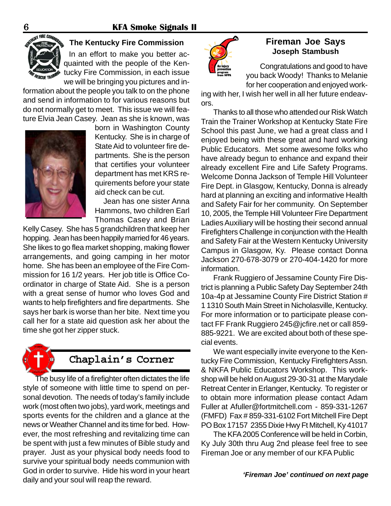

#### **The Kentucky Fire Commission**

In an effort to make you better acquainted with the people of the Kentucky Fire Commission, in each issue we will be bringing you pictures and in-

formation about the people you talk to on the phone and send in information to for various reasons but do not normally get to meet. This issue we will feature Elvia Jean Casey. Jean as she is known, was



born in Washington County Kentucky. She is in charge of State Aid to volunteer fire departments. She is the person that certifies your volunteer department has met KRS requirements before your state aid check can be cut.

Jean has one sister Anna Hammons, two children Earl Thomas Casey and Brian

Kelly Casey. She has 5 grandchildren that keep her hopping. Jean has been happily married for 46 years. She likes to go flea market shopping, making flower arrangements, and going camping in her motor home. She has been an employee of the Fire Commission for 16 1/2 years. Her job title is Office Coordinator in charge of State Aid. She is a person with a great sense of humor who loves God and wants to help firefighters and fire departments. She says her bark is worse than her bite. Next time you call her for a state aid question ask her about the time she got her zipper stuck.



### **Chaplain's Corner**

The busy life of a firefighter often dictates the life style of someone with little time to spend on personal devotion. The needs of today's family include work (most often two jobs), yard work, meetings and sports events for the children and a glance at the news or Weather Channel and its time for bed. However, the most refreshing and revitalizing time can be spent with just a few minutes of Bible study and prayer. Just as your physical body needs food to survive your spiritual body needs communion with God in order to survive. Hide his word in your heart daily and your soul will reap the reward.



#### **Fireman Joe Says Joseph Stambush**

Congratulations and good to have you back Woody! Thanks to Melanie for her cooperation and enjoyed work-

ing with her, I wish her well in all her future endeavors.

Thanks to all those who attended our Risk Watch Train the Trainer Workshop at Kentucky State Fire School this past June, we had a great class and I enjoyed being with these great and hard working Public Educators. Met some awesome folks who have already begun to enhance and expand their already excellent Fire and Life Safety Programs. Welcome Donna Jackson of Temple Hill Volunteer Fire Dept. in Glasgow, Kentucky, Donna is already hard at planning an exciting and informative Health and Safety Fair for her community. On September 10, 2005, the Temple Hill Volunteer Fire Department Ladies Auxiliary will be hosting their second annual Firefighters Challenge in conjunction with the Health and Safety Fair at the Western Kentucky University Campus in Glasgow, Ky. Please contact Donna Jackson 270-678-3079 or 270-404-1420 for more information.

Frank Ruggiero of Jessamine County Fire District is planning a Public Safety Day September 24th 10a-4p at Jessamine County Fire District Station # 1 1310 South Main Street in Nicholasville, Kentucky. For more information or to participate please contact FF Frank Ruggiero 245@jcfire.net or call 859- 885-9221. We are excited about both of these special events.

We want especially invite everyone to the Kentucky Fire Commission, Kentucky Firefighters Assn. & NKFA Public Educators Workshop. This workshop will be held on August 29-30-31 at the Marydale Retreat Center in Erlanger, Kentucky. To register or to obtain more information please contact Adam Fuller at Afuller@fortmitchell.com - 859-331-1267 (FMFD) Fax # 859-331-6102 Fort Mitchell Fire Dept PO Box 17157 2355 Dixie Hwy Ft Mitchell, Ky 41017

The KFA 2005 Conference will be held in Corbin, Ky July 30th thru Aug 2nd please feel free to see Fireman Joe or any member of our KFA Public

*'Fireman Joe' continued on next page*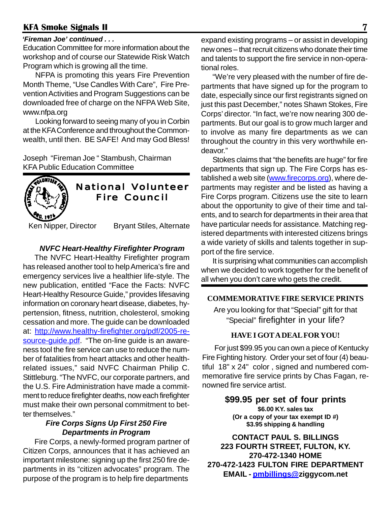#### *'Fireman Joe' continued . . .*

Education Committee for more information about the workshop and of course our Statewide Risk Watch Program which is growing all the time.

NFPA is promoting this years Fire Prevention Month Theme, "Use Candles With Care", Fire Prevention Activities and Program Suggestions can be downloaded free of charge on the NFPA Web Site, www.nfpa.org

Looking forward to seeing many of you in Corbin at the KFA Conference and throughout the Commonwealth, until then. BE SAFE! And may God Bless!

Joseph "Fireman Joe " Stambush, Chairman KFA Public Education Committee



### **National Volunteer** Fire Council Fire Council

Ken Nipper, Director Bryant Stiles, Alternate

#### *NVFC Heart-Healthy Firefighter Program*

The NVFC Heart-Healthy Firefighter program has released another tool to help America's fire and emergency services live a healthier life-style. The new publication, entitled "Face the Facts: NVFC Heart-Healthy Resource Guide," provides lifesaving information on coronary heart disease, diabetes, hypertension, fitness, nutrition, cholesterol, smoking cessation and more. The guide can be downloaded at: http://www.healthy-firefighter.org/pdf/2005-resource-guide.pdf. "The on-line quide is an awareness tool the fire service can use to reduce the number of fatalities from heart attacks and other healthrelated issues," said NVFC Chairman Philip C. Stittleburg. "The NVFC, our corporate partners, and the U.S. Fire Administration have made a commitment to reduce firefighter deaths, now each firefighter must make their own personal commitment to better themselves."

#### *Fire Corps Signs Up First 250 Fire Departments in Program*

Fire Corps, a newly-formed program partner of Citizen Corps, announces that it has achieved an important milestone: signing up the first 250 fire departments in its "citizen advocates" program. The purpose of the program is to help fire departments

expand existing programs – or assist in developing new ones – that recruit citizens who donate their time and talents to support the fire service in non-operational roles.

"We're very pleased with the number of fire departments that have signed up for the program to date, especially since our first registrants signed on just this past December," notes Shawn Stokes, Fire Corps' director. "In fact, we're now nearing 300 departments. But our goal is to grow much larger and to involve as many fire departments as we can throughout the country in this very worthwhile endeavor."

Stokes claims that "the benefits are huge" for fire departments that sign up. The Fire Corps has established a web site (www.firecorps.org), where departments may register and be listed as having a Fire Corps program. Citizens use the site to learn about the opportunity to give of their time and talents, and to search for departments in their area that have particular needs for assistance. Matching registered departments with interested citizens brings a wide variety of skills and talents together in support of the fire service.

It is surprising what communities can accomplish when we decided to work together for the benefit of all when you don't care who gets the credit.

#### **COMMEMORATIVE FIRE SERVICE PRINTS**

Are you looking for that "Special" gift for that "Special" firefighter in your life?

#### **HAVE I GOT A DEAL FOR YOU!**

For just \$99.95 you can own a piece of Kentucky Fire Fighting history. Order your set of four (4) beautiful 18" x 24" color , signed and numbered commemorative fire service prints by Chas Fagan, renowned fire service artist.

> **\$99.95 per set of four prints \$6.00 KY. sales tax (Or a copy of your tax exempt ID #) \$3.95 shipping & handling**

**CONTACT PAUL S. BILLINGS 223 FOURTH STREET, FULTON, KY. 270-472-1340 HOME 270-472-1423 FULTON FIRE DEPARTMENT EMAIL - pmbillings@ziggycom.net**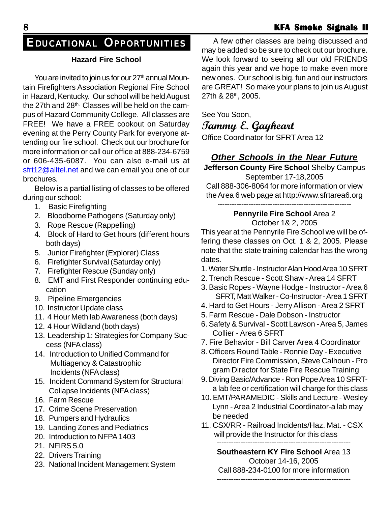#### **Hazard Fire School**

You are invited to join us for our 27<sup>th</sup> annual Mountain Firefighters Association Regional Fire School in Hazard, Kentucky. Our school will be held August the 27th and 28<sup>th.</sup> Classes will be held on the campus of Hazard Community College. All classes are FREE! We have a FREE cookout on Saturday evening at the Perry County Park for everyone attending our fire school. Check out our brochure for more information or call our office at 888-234-6759 or 606-435-6087. You can also e-mail us at sfrt12@alltel.net and we can email you one of our brochures.

Below is a partial listing of classes to be offered during our school:

- 1. Basic Firefighting
- 2. Bloodborne Pathogens (Saturday only)
- 3. Rope Rescue (Rappelling)
- 4. Block of Hard to Get hours (different hours both days)
- 5. Junior Firefighter (Explorer) Class
- 6. Firefighter Survival (Saturday only)
- 7. Firefighter Rescue (Sunday only)
- 8. EMT and First Responder continuing education
- 9. Pipeline Emergencies
- 10. Instructor Update class
- 11. 4 Hour Meth lab Awareness (both days)
- 12. 4 Hour Wildland (both days)
- 13. Leadership 1: Strategies for Company Success (NFA class)
- 14. Introduction to Unified Command for Multiagency & Catastrophic Incidents (NFA class)
- 15. Incident Command System for Structural Collapse Incidents (NFA class)
- 16. Farm Rescue
- 17. Crime Scene Preservation
- 18. Pumpers and Hydraulics
- 19. Landing Zones and Pediatrics
- 20. Introduction to NFPA 1403
- 21. NFIRS 5.0
- 22. Drivers Training
- 23. National Incident Management System

A few other classes are being discussed and may be added so be sure to check out our brochure. We look forward to seeing all our old FRIENDS again this year and we hope to make even more new ones. Our school is big, fun and our instructors are GREAT! So make your plans to join us August 27th & 28th, 2005.

See You Soon,

**Tammy E. Gayheart**

Office Coordinator for SFRT Area 12

# *Other Schools in the Near Future*

**Jefferson County Fire School** Shelby Campus September 17-18,2005

Call 888-306-8064 for more information or view the Area 6 web page at http://www.sfrtarea6.org

--------------------------------------------------------

#### **Pennyrile Fire School** Area 2 October 1& 2, 2005

This year at the Pennyrile Fire School we will be offering these classes on Oct. 1 & 2, 2005. Please note that the state training calendar has the wrong dates.

- 1. Water Shuttle Instructor Alan Hood Area 10 SFRT
- 2. Trench Rescue Scott Shaw Area 14 SFRT
- 3. Basic Ropes Wayne Hodge Instructor Area 6 SFRT, Matt Walker - Co-Instructor - Area 1 SFRT
- 4. Hard to Get Hours Jerry Allison Area 2 SFRT
- 5. Farm Rescue Dale Dobson Instructor
- 6. Safety & Survival Scott Lawson Area 5, James Collier - Area 6 SFRT
- 7. Fire Behavior Bill Carver Area 4 Coordinator
- 8. Officers Round Table Ronnie Day Executive Director Fire Commission, Steve Calhoun - Pro gram Director for State Fire Rescue Training
- 9. Diving Basic/Advance Ron Pope Area 10 SFRTa lab fee or certification will charge for this class
- 10. EMT/PARAMEDIC Skills and Lecture Wesley Lynn - Area 2 Industrial Coordinator-a lab may be needed
- 11. CSX/RR Railroad Incidents/Haz. Mat. CSX will provide the Instructor for this class

-------------------------------------------------------- **Southeastern KY Fire School** Area 13

October 14-16, 2005 Call 888-234-0100 for more information

--------------------------------------------------------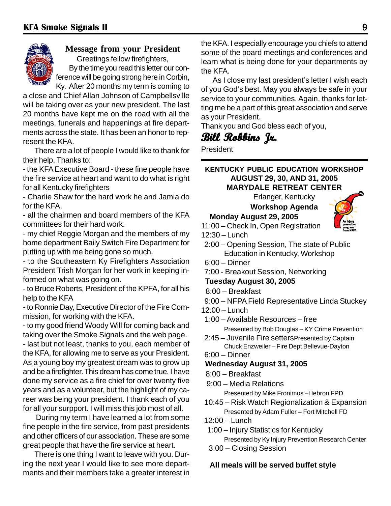

#### **Message from your President** Greetings fellow firefighters, By the time you read this letter our con-

ference will be going strong here in Corbin, Ky. After 20 months my term is coming to

a close and Chief Allan Johnson of Campbellsville will be taking over as your new president. The last 20 months have kept me on the road with all the meetings, funerals and happenings at fire departments across the state. It has been an honor to represent the KFA.

There are a lot of people I would like to thank for their help. Thanks to:

- the KFA Executive Board - these fine people have the fire service at heart and want to do what is right for all Kentucky firefighters

- Charlie Shaw for the hard work he and Jamia do for the KFA.

- all the chairmen and board members of the KFA committees for their hard work.

- my chief Reggie Morgan and the members of my home department Baily Switch Fire Department for putting up with me being gone so much.

- to the Southeastern Ky Firefighters Association President Trish Morgan for her work in keeping informed on what was going on.

- to Bruce Roberts, President of the KPFA, for all his help to the KFA

- to Ronnie Day, Executive Director of the Fire Commission, for working with the KFA.

- to my good friend Woody Will for coming back and taking over the Smoke Signals and the web page.

- last but not least, thanks to you, each member of the KFA, for allowing me to serve as your President. As a young boy my greatest dream was to grow up and be a firefighter. This dream has come true. I have done my service as a fire chief for over twenty five years and as a volunteer, but the highlight of my career was being your president. I thank each of you for all your surpport. I will miss this job most of all.

During my term I have learned a lot from some fine people in the fire service, from past presidents and other officers of our association. These are some great people that have the fire service at heart.

There is one thing I want to leave with you. During the next year I would like to see more departments and their members take a greater interest in the KFA. I especially encourage you chiefs to attend some of the board meetings and conferences and learn what is being done for your departments by the KFA.

As I close my last president's letter I wish each of you God's best. May you always be safe in your service to your communities. Again, thanks for letting me be a part of this great association and serve as your President.

Thank you and God bless each of you,

# **Bill Robbins Jr. Jr.**

President

#### **KENTUCKY PUBLIC EDUCATION WORKSHOP AUGUST 29, 30, AND 31, 2005 MARYDALE RETREAT CENTER**

Erlanger, Kentucky

**Workshop Agenda**

### **Monday August 29, 2005**

11:00 – Check In, Open Registration

- 12:30 Lunch
- 2:00 Opening Session, The state of Public Education in Kentucky, Workshop
- 6:00 Dinner
- 7:00 Breakout Session, Networking

**Tuesday August 30, 2005**

- 8:00 Breakfast
- 9:00 NFPA Field Representative Linda Stuckey
- 12:00 Lunch
- 1:00 Available Resources free Presented by Bob Douglas – KY Crime Prevention
- 2:45 Juvenile Fire settersPresented by Captain Chuck Enzweiler – Fire Dept Bellevue-Dayton
- 6:00 Dinner

#### **Wednesday August 31, 2005**

- 8:00 Breakfast
- 9:00 Media Relations

Presented by Mike Fronimos –Hebron FPD

- 10:45 Risk Watch Regionalization & Expansion Presented by Adam Fuller – Fort Mitchell FD
- 12:00 Lunch
- 1:00 Injury Statistics for Kentucky

Presented by Ky Injury Prevention Research Center

3:00 – Closing Session

#### **All meals will be served buffet style**

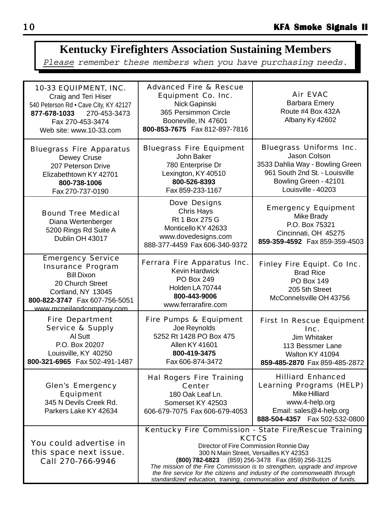# **Kentucky Firefighters Association Sustaining Members**

Please remember these members when you have purchasing needs.

| 10-33 EQUIPMENT, INC.<br>Craig and Teri Hiser<br>540 Peterson Rd · Cave City, KY 42127<br>270-453-3473<br>877-678-1033<br>Fax 270-453-3474<br>Web site: www.10-33.com             | <b>Advanced Fire &amp; Rescue</b><br><b>Equipment Co. Inc.</b><br>Nick Gapinski<br>365 Persimmon Circle<br>Booneville, IN 47601<br>800-853-7675 Fax 812-897-7816                                                                                                                                                                                                                                                                                      | <b>Air EVAC</b><br><b>Barbara Emery</b><br>Route #4 Box 432A<br>Albany Ky 42602                                                                                    |
|-----------------------------------------------------------------------------------------------------------------------------------------------------------------------------------|-------------------------------------------------------------------------------------------------------------------------------------------------------------------------------------------------------------------------------------------------------------------------------------------------------------------------------------------------------------------------------------------------------------------------------------------------------|--------------------------------------------------------------------------------------------------------------------------------------------------------------------|
| <b>Bluegrass Fire Apparatus</b><br>Dewey Cruse<br>207 Peterson Drive<br>Elizabethtown KY 42701<br>800-738-1006<br>Fax 270-737-0190                                                | <b>Bluegrass Fire Equipment</b><br>John Baker<br>780 Enterprise Dr<br>Lexington, KY 40510<br>800-526-8393<br>Fax 859-233-1167                                                                                                                                                                                                                                                                                                                         | <b>Bluegrass Uniforms Inc.</b><br>Jason Colson<br>3533 Dahlia Way - Bowling Green<br>961 South 2nd St. - Louisville<br>Bowling Green - 42101<br>Louisville - 40203 |
| <b>Bound Tree Medical</b><br>Diana Wertenberger<br>5200 Rings Rd Suite A<br>Dublin OH 43017                                                                                       | <b>Dove Designs</b><br><b>Chris Hays</b><br>Rt 1 Box 275 G<br>Monticello KY 42633<br>www.dovedesigns.com<br>888-377-4459 Fax 606-340-9372                                                                                                                                                                                                                                                                                                             | <b>Emergency Equipment</b><br>Mike Brady<br>P.O. Box 75321<br>Cincinnati, OH 45275<br>859-359-4592  Fax 859-359-4503                                               |
| <b>Emergency Service</b><br><b>Insurance Program</b><br><b>Bill Dixon</b><br>20 Church Street<br>Cortland, NY 13045<br>800-822-3747  Fax 607-756-5051<br>www.mcneilandcompany.com | Ferrara Fire Apparatus Inc.<br><b>Kevin Hardwick</b><br><b>PO Box 249</b><br>Holden LA 70744<br>800-443-9006<br>www.ferrarafire.com                                                                                                                                                                                                                                                                                                                   | <b>Finley Fire Equipt. Co Inc.</b><br><b>Brad Rice</b><br><b>PO Box 149</b><br>205 5th Street<br>McConnelsville OH 43756                                           |
| <b>Fire Department</b><br><b>Service &amp; Supply</b><br>Al Sutt<br>P.O. Box 20207<br>Louisville, KY 40250<br>800-321-6965 Fax 502-491-1487                                       | <b>Fire Pumps &amp; Equipment</b><br>Joe Reynolds<br>5252 Rt 1428 PO Box 475<br>Allen KY 41601<br>800-419-3475<br>Fax 606-874-3472                                                                                                                                                                                                                                                                                                                    | <b>First In Rescue Equipment</b><br>Inc.<br>Jim Whitaker<br>113 Bessmer Lane<br>Walton KY 41094<br>859-485-2870 Fax 859-485-2872                                   |
| <b>Glen's Emergency</b><br><b>Equipment</b><br>345 N Devils Creek Rd.<br>Parkers Lake KY 42634                                                                                    | <b>Hal Rogers Fire Training</b><br><b>Center</b><br>180 Oak Leaf Ln.<br>Somerset KY 42503<br>606-679-7075 Fax 606-679-4053                                                                                                                                                                                                                                                                                                                            | <b>Hilliard Enhanced</b><br><b>Learning Programs (HELP)</b><br><b>Mike Hilliard</b><br>www.4-help.org<br>Email: sales@4-help.org<br>888-504-4357  Fax 502-532-0800 |
| You could advertise in<br>this space next issue.<br>Call 270-766-9946                                                                                                             | Kentucky Fire Commission - State Fire/Rescue Training<br><b>KCTCS</b><br>Director of Fire Commission Ronnie Day<br>300 N Main Street, Versailles KY 42353<br>(800) 782-6823 (859) 256-3478 Fax (859) 256-3125<br>The mission of the Fire Commission is to strengthen, upgrade and improve<br>the fire service for the citizens and industry of the commonwealth through<br>standardized education, training, communication and distribution of funds. |                                                                                                                                                                    |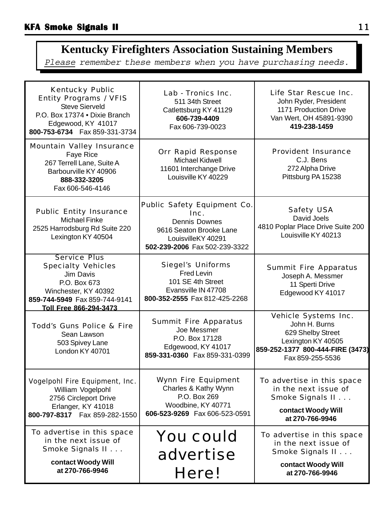# **Kentucky Firefighters Association Sustaining Members**

Please remember these members when you have purchasing needs.

| <b>Kentucky Public</b><br><b>Entity Programs / VFIS</b><br><b>Steve Sierveld</b><br>P.O. Box 17374 . Dixie Branch<br>Edgewood, KY 41017<br>800-753-6734    Fax 859-331-3734 | Lab - Tronics Inc.<br>511 34th Street<br>Catlettsburg KY 41129<br>606-739-4409<br>Fax 606-739-0023                                                   | Life Star Rescue Inc.<br>John Ryder, President<br>1171 Production Drive<br>Van Wert, OH 45891-9390<br>419-238-1459                       |
|-----------------------------------------------------------------------------------------------------------------------------------------------------------------------------|------------------------------------------------------------------------------------------------------------------------------------------------------|------------------------------------------------------------------------------------------------------------------------------------------|
| <b>Mountain Valley Insurance</b><br>Faye Rice<br>267 Terrell Lane, Suite A<br>Barbourville KY 40906<br>888-332-3205<br>Fax 606-546-4146                                     | <b>Orr Rapid Response</b><br><b>Michael Kidwell</b><br>11601 Interchange Drive<br>Louisville KY 40229                                                | <b>Provident Insurance</b><br>C.J. Bens<br>272 Alpha Drive<br>Pittsburg PA 15238                                                         |
| <b>Public Entity Insurance</b><br><b>Michael Finke</b><br>2525 Harrodsburg Rd Suite 220<br>Lexington KY 40504                                                               | <b>Public Safety Equipment Co.</b><br>Inc.<br><b>Dennis Downes</b><br>9616 Seaton Brooke Lane<br>LouisvilleKY 40291<br>502-239-2006 Fax 502-239-3322 | <b>Safety USA</b><br>David Joels<br>4810 Poplar Place Drive Suite 200<br>Louisville KY 40213                                             |
| <b>Service Plus</b><br><b>Specialty Vehicles</b><br>Jim Davis<br>P.O. Box 673<br>Winchester, KY 40392<br>859-744-5949 Fax 859-744-9141<br>Toll Free 866-294-3473            | <b>Siegel's Uniforms</b><br>Fred Levin<br>101 SE 4th Street<br>Evansville IN 47708<br>800-352-2555 Fax 812-425-2268                                  | <b>Summit Fire Apparatus</b><br>Joseph A. Messmer<br>11 Sperti Drive<br>Edgewood KY 41017                                                |
| <b>Todd's Guns Police &amp; Fire</b><br>Sean Lawson<br>503 Spivey Lane<br>London KY 40701                                                                                   | <b>Summit Fire Apparatus</b><br>Joe Messmer<br>P.O. Box 17128<br>Edgewood, KY 41017<br>859-331-0360  Fax 859-331-0399                                | Vehicle Systems Inc.<br>John H. Burns<br>629 Shelby Street<br>Lexington KY 40505<br>859-252-1377 800-444-FIRE (3473)<br>Fax 859-255-5536 |
| <b>Vogelpohl Fire Equipment, Inc.</b><br>William Vogelpohl<br>2756 Circleport Drive<br>Erlanger, KY 41018<br>800-797-8317  Fax 859-282-1550                                 | <b>Wynn Fire Equipment</b><br>Charles & Kathy Wynn<br>P.O. Box 269<br>Woodbine, KY 40771<br>606-523-9269    Fax 606-523-0591                         | To advertise in this space<br>in the next issue of<br>Smoke Signals II<br>contact Woody Will<br>at 270-766-9946                          |
| To advertise in this space<br>in the next issue of<br>Smoke Signals II<br>contact Woody Will<br>at 270-766-9946                                                             | <b>You could</b><br>advertise<br>Here!                                                                                                               | To advertise in this space<br>in the next issue of<br>Smoke Signals II<br>contact Woody Will<br>at 270-766-9946                          |